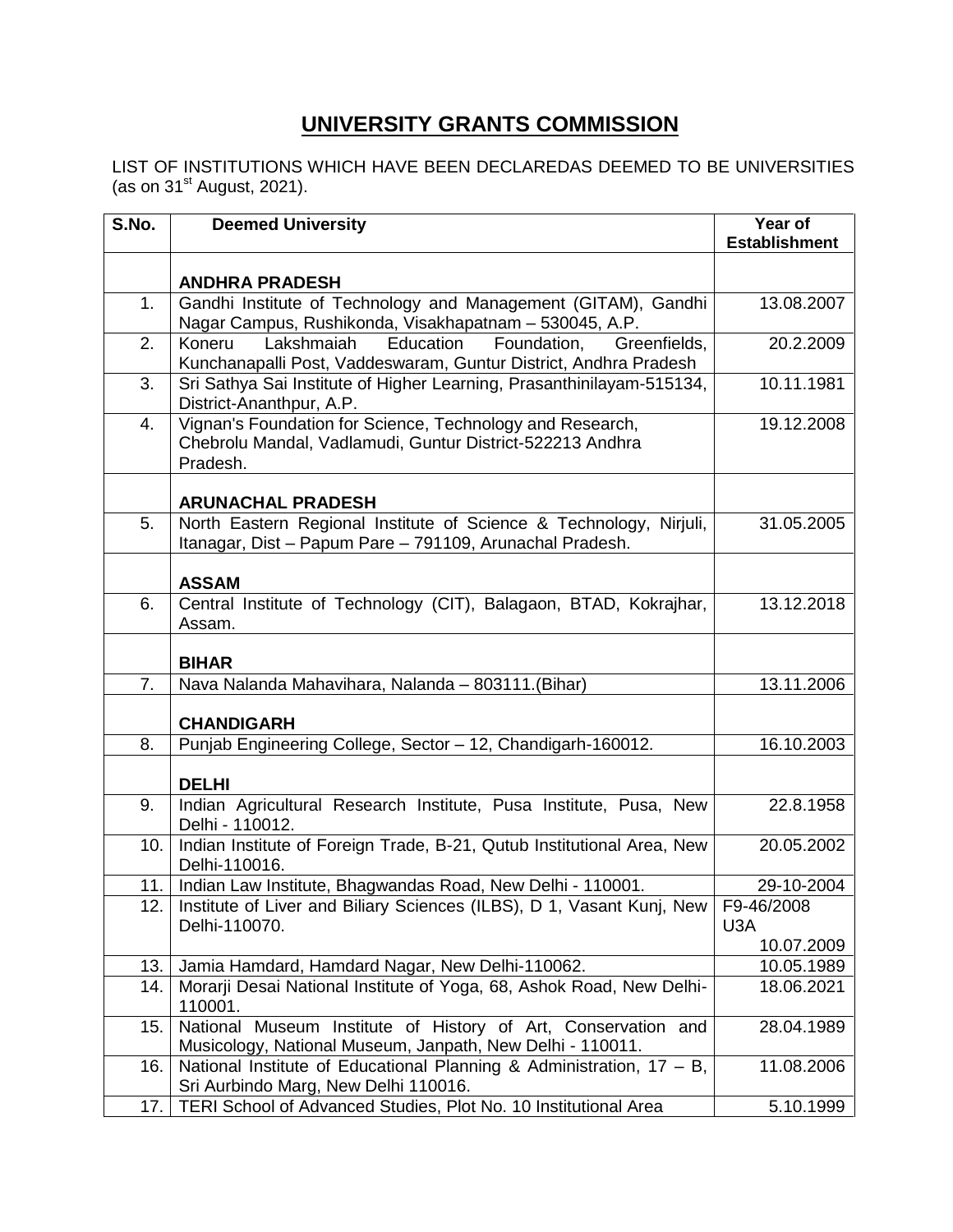## **UNIVERSITY GRANTS COMMISSION**

LIST OF INSTITUTIONS WHICH HAVE BEEN DECLAREDAS DEEMED TO BE UNIVERSITIES (as on  $31<sup>st</sup>$  August, 2021).

| S.No.      | <b>Deemed University</b>                                                                                                             | Year of<br><b>Establishment</b> |
|------------|--------------------------------------------------------------------------------------------------------------------------------------|---------------------------------|
|            | <b>ANDHRA PRADESH</b>                                                                                                                |                                 |
| 1.         | Gandhi Institute of Technology and Management (GITAM), Gandhi<br>Nagar Campus, Rushikonda, Visakhapatnam - 530045, A.P.              | 13.08.2007                      |
| 2.         | Lakshmaiah<br>Education<br>Foundation,<br>Greenfields,<br>Koneru<br>Kunchanapalli Post, Vaddeswaram, Guntur District, Andhra Pradesh | 20.2.2009                       |
| 3.         | Sri Sathya Sai Institute of Higher Learning, Prasanthinilayam-515134,<br>District-Ananthpur, A.P.                                    | 10.11.1981                      |
| 4.         | Vignan's Foundation for Science, Technology and Research,<br>Chebrolu Mandal, Vadlamudi, Guntur District-522213 Andhra<br>Pradesh.   | 19.12.2008                      |
|            | <b>ARUNACHAL PRADESH</b>                                                                                                             |                                 |
| 5.         | North Eastern Regional Institute of Science & Technology, Nirjuli,<br>Itanagar, Dist - Papum Pare - 791109, Arunachal Pradesh.       | 31.05.2005                      |
|            | <b>ASSAM</b>                                                                                                                         |                                 |
| 6.         | Central Institute of Technology (CIT), Balagaon, BTAD, Kokrajhar,<br>Assam.                                                          | 13.12.2018                      |
|            | <b>BIHAR</b>                                                                                                                         |                                 |
| 7.         | Nava Nalanda Mahavihara, Nalanda - 803111.(Bihar)                                                                                    | 13.11.2006                      |
|            | <b>CHANDIGARH</b>                                                                                                                    |                                 |
| 8.         | Punjab Engineering College, Sector - 12, Chandigarh-160012.                                                                          | 16.10.2003                      |
|            | <b>DELHI</b>                                                                                                                         |                                 |
| 9.         | Indian Agricultural Research Institute, Pusa Institute, Pusa, New<br>Delhi - 110012.                                                 | 22.8.1958                       |
| 10.        | Indian Institute of Foreign Trade, B-21, Qutub Institutional Area, New<br>Delhi-110016.                                              | 20.05.2002                      |
| 11. l      | Indian Law Institute, Bhagwandas Road, New Delhi - 110001.                                                                           | 29-10-2004                      |
| 12.        | Institute of Liver and Biliary Sciences (ILBS), D 1, Vasant Kunj, New<br>Delhi-110070.                                               | F9-46/2008<br>U3A               |
|            |                                                                                                                                      | 10.07.2009                      |
| 13.<br>14. | Jamia Hamdard, Hamdard Nagar, New Delhi-110062.<br>Morarji Desai National Institute of Yoga, 68, Ashok Road, New Delhi-              | 10.05.1989<br>18.06.2021        |
|            | 110001.                                                                                                                              |                                 |
| 15.        | National Museum Institute of History of Art, Conservation and<br>Musicology, National Museum, Janpath, New Delhi - 110011.           | 28.04.1989                      |
| 16.        | National Institute of Educational Planning & Administration, 17 - B,<br>Sri Aurbindo Marg, New Delhi 110016.                         | 11.08.2006                      |
| 17.        | TERI School of Advanced Studies, Plot No. 10 Institutional Area                                                                      | 5.10.1999                       |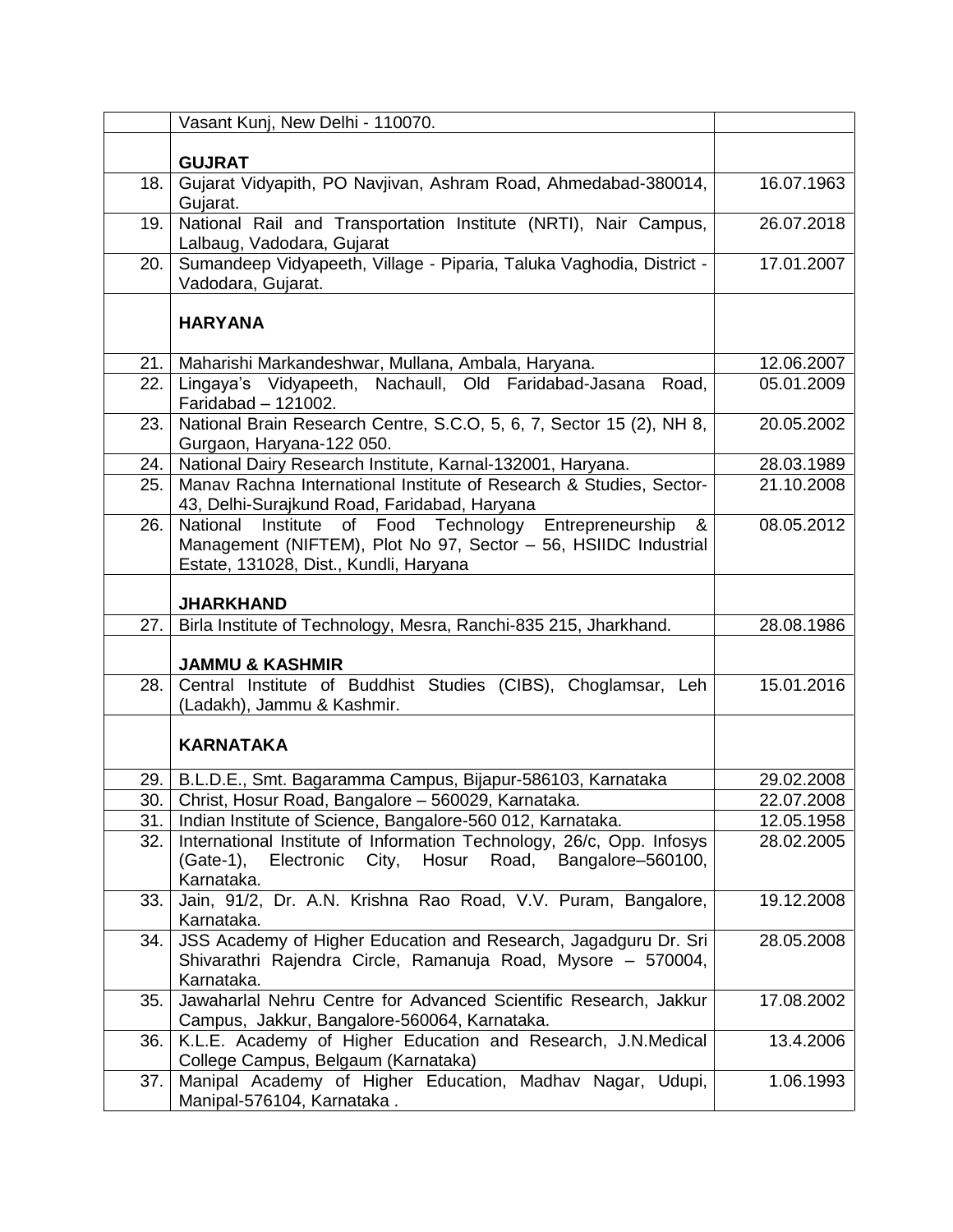|      | Vasant Kunj, New Delhi - 110070.                                                        |            |
|------|-----------------------------------------------------------------------------------------|------------|
|      |                                                                                         |            |
|      | <b>GUJRAT</b>                                                                           |            |
| 18.  | Gujarat Vidyapith, PO Navjivan, Ashram Road, Ahmedabad-380014,                          | 16.07.1963 |
| 19.1 | Gujarat.<br>National Rail and Transportation Institute (NRTI), Nair Campus,             | 26.07.2018 |
|      | Lalbaug, Vadodara, Gujarat                                                              |            |
| 20.1 | Sumandeep Vidyapeeth, Village - Piparia, Taluka Vaghodia, District -                    | 17.01.2007 |
|      | Vadodara, Gujarat.                                                                      |            |
|      |                                                                                         |            |
|      | <b>HARYANA</b>                                                                          |            |
| 21.  | Maharishi Markandeshwar, Mullana, Ambala, Haryana.                                      | 12.06.2007 |
| 22.  | Lingaya's Vidyapeeth, Nachaull, Old Faridabad-Jasana<br>Road,                           | 05.01.2009 |
|      | Faridabad - 121002.                                                                     |            |
| 23.  | National Brain Research Centre, S.C.O, 5, 6, 7, Sector 15 (2), NH 8,                    | 20.05.2002 |
| 24.  | Gurgaon, Haryana-122 050.<br>National Dairy Research Institute, Karnal-132001, Haryana. | 28.03.1989 |
| 25.  | Manav Rachna International Institute of Research & Studies, Sector-                     | 21.10.2008 |
|      | 43, Delhi-Surajkund Road, Faridabad, Haryana                                            |            |
| 26.  | Food Technology<br>Entrepreneurship<br>National<br>Institute<br>of<br>&                 | 08.05.2012 |
|      | Management (NIFTEM), Plot No 97, Sector - 56, HSIIDC Industrial                         |            |
|      | Estate, 131028, Dist., Kundli, Haryana                                                  |            |
|      |                                                                                         |            |
|      | <b>JHARKHAND</b>                                                                        |            |
| 27.  | Birla Institute of Technology, Mesra, Ranchi-835 215, Jharkhand.                        | 28.08.1986 |
|      | <b>JAMMU &amp; KASHMIR</b>                                                              |            |
| 28.1 | Central Institute of Buddhist Studies (CIBS), Choglamsar, Leh                           | 15.01.2016 |
|      | (Ladakh), Jammu & Kashmir.                                                              |            |
|      |                                                                                         |            |
|      | <b>KARNATAKA</b>                                                                        |            |
| 29.1 | B.L.D.E., Smt. Bagaramma Campus, Bijapur-586103, Karnataka                              | 29.02.2008 |
| 30.1 | Christ, Hosur Road, Bangalore - 560029, Karnataka.                                      | 22.07.2008 |
| 31.  | Indian Institute of Science, Bangalore-560 012, Karnataka.                              | 12.05.1958 |
| 32.  | International Institute of Information Technology, 26/c, Opp. Infosys                   | 28.02.2005 |
|      | Electronic City,<br>Hosur<br>Road,<br>Bangalore-560100,<br>$(Gate-1),$                  |            |
|      | Karnataka.<br>Jain, 91/2, Dr. A.N. Krishna Rao Road, V.V. Puram, Bangalore,             | 19.12.2008 |
| 33.  | Karnataka.                                                                              |            |
| 34.  | JSS Academy of Higher Education and Research, Jagadguru Dr. Sri                         | 28.05.2008 |
|      | Shivarathri Rajendra Circle, Ramanuja Road, Mysore - 570004,                            |            |
|      | Karnataka.                                                                              |            |
| 35.  | Jawaharlal Nehru Centre for Advanced Scientific Research, Jakkur                        | 17.08.2002 |
|      | Campus, Jakkur, Bangalore-560064, Karnataka.                                            |            |
| 36.  | K.L.E. Academy of Higher Education and Research, J.N.Medical                            | 13.4.2006  |
|      | College Campus, Belgaum (Karnataka)                                                     |            |
| 37.  | Manipal Academy of Higher Education, Madhav Nagar, Udupi,<br>Manipal-576104, Karnataka. | 1.06.1993  |
|      |                                                                                         |            |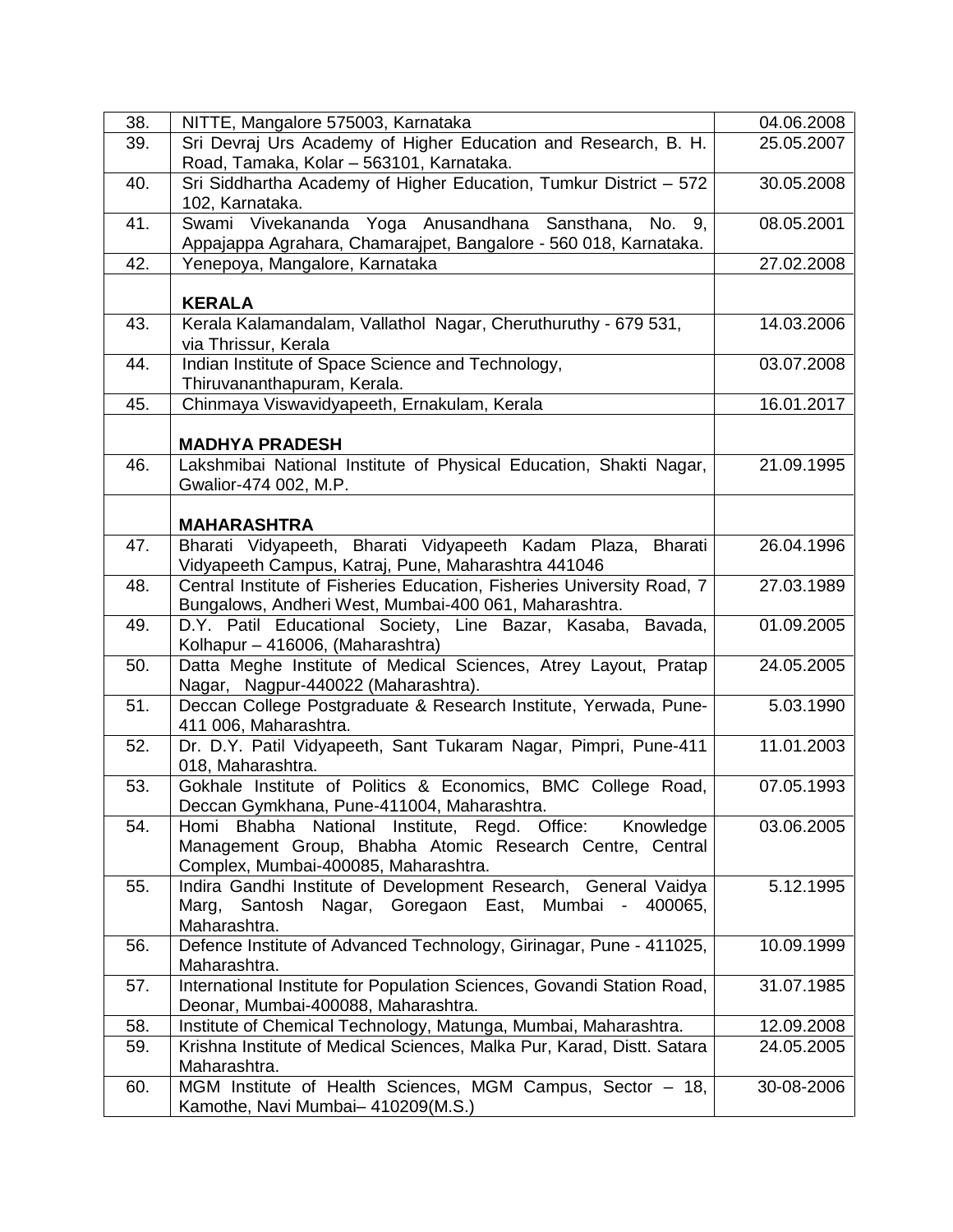| 38. | NITTE, Mangalore 575003, Karnataka                                                                                  | 04.06.2008 |
|-----|---------------------------------------------------------------------------------------------------------------------|------------|
| 39. | Sri Devraj Urs Academy of Higher Education and Research, B. H.                                                      | 25.05.2007 |
|     | Road, Tamaka, Kolar - 563101, Karnataka.                                                                            |            |
| 40. | Sri Siddhartha Academy of Higher Education, Tumkur District - 572                                                   | 30.05.2008 |
|     | 102, Karnataka.                                                                                                     |            |
| 41. | Swami Vivekananda Yoga Anusandhana Sansthana, No. 9,                                                                | 08.05.2001 |
|     | Appajappa Agrahara, Chamarajpet, Bangalore - 560 018, Karnataka.                                                    |            |
| 42. | Yenepoya, Mangalore, Karnataka                                                                                      | 27.02.2008 |
|     |                                                                                                                     |            |
|     | <b>KERALA</b>                                                                                                       |            |
| 43. | Kerala Kalamandalam, Vallathol Nagar, Cheruthuruthy - 679 531,                                                      | 14.03.2006 |
|     | via Thrissur, Kerala                                                                                                |            |
| 44. | Indian Institute of Space Science and Technology,                                                                   | 03.07.2008 |
|     | Thiruvananthapuram, Kerala.                                                                                         |            |
| 45. | Chinmaya Viswavidyapeeth, Ernakulam, Kerala                                                                         | 16.01.2017 |
|     | <b>MADHYA PRADESH</b>                                                                                               |            |
| 46. | Lakshmibai National Institute of Physical Education, Shakti Nagar,                                                  | 21.09.1995 |
|     | Gwalior-474 002, M.P.                                                                                               |            |
|     |                                                                                                                     |            |
|     | <b>MAHARASHTRA</b>                                                                                                  |            |
| 47. | Bharati Vidyapeeth, Bharati Vidyapeeth Kadam Plaza, Bharati                                                         | 26.04.1996 |
|     | Vidyapeeth Campus, Katraj, Pune, Maharashtra 441046                                                                 |            |
| 48. | Central Institute of Fisheries Education, Fisheries University Road, 7                                              | 27.03.1989 |
|     | Bungalows, Andheri West, Mumbai-400 061, Maharashtra.                                                               |            |
| 49. | D.Y. Patil Educational Society, Line Bazar, Kasaba, Bavada,                                                         | 01.09.2005 |
|     | Kolhapur – 416006, (Maharashtra)                                                                                    |            |
| 50. | Datta Meghe Institute of Medical Sciences, Atrey Layout, Pratap                                                     | 24.05.2005 |
|     | Nagar, Nagpur-440022 (Maharashtra).                                                                                 |            |
| 51. | Deccan College Postgraduate & Research Institute, Yerwada, Pune-                                                    | 5.03.1990  |
|     | 411 006, Maharashtra.                                                                                               |            |
| 52. | Dr. D.Y. Patil Vidyapeeth, Sant Tukaram Nagar, Pimpri, Pune-411                                                     | 11.01.2003 |
|     | 018, Maharashtra.                                                                                                   |            |
| 53. | Gokhale Institute of Politics & Economics, BMC College Road,                                                        | 07.05.1993 |
|     | Deccan Gymkhana, Pune-411004, Maharashtra.                                                                          |            |
| 54. | Homi Bhabha National Institute, Regd. Office: Knowledge<br>Management Group, Bhabha Atomic Research Centre, Central | 03.06.2005 |
|     | Complex, Mumbai-400085, Maharashtra.                                                                                |            |
| 55. | Indira Gandhi Institute of Development Research, General Vaidya                                                     | 5.12.1995  |
|     | Santosh<br>Nagar, Goregaon East, Mumbai -<br>Marg,<br>400065,                                                       |            |
|     | Maharashtra.                                                                                                        |            |
| 56. | Defence Institute of Advanced Technology, Girinagar, Pune - 411025,                                                 | 10.09.1999 |
|     | Maharashtra.                                                                                                        |            |
| 57. | International Institute for Population Sciences, Govandi Station Road,                                              | 31.07.1985 |
|     | Deonar, Mumbai-400088, Maharashtra.                                                                                 |            |
| 58. | Institute of Chemical Technology, Matunga, Mumbai, Maharashtra.                                                     | 12.09.2008 |
| 59. | Krishna Institute of Medical Sciences, Malka Pur, Karad, Distt. Satara                                              | 24.05.2005 |
|     | Maharashtra.                                                                                                        |            |
| 60. | MGM Institute of Health Sciences, MGM Campus, Sector - 18,                                                          | 30-08-2006 |
|     | Kamothe, Navi Mumbai- 410209(M.S.)                                                                                  |            |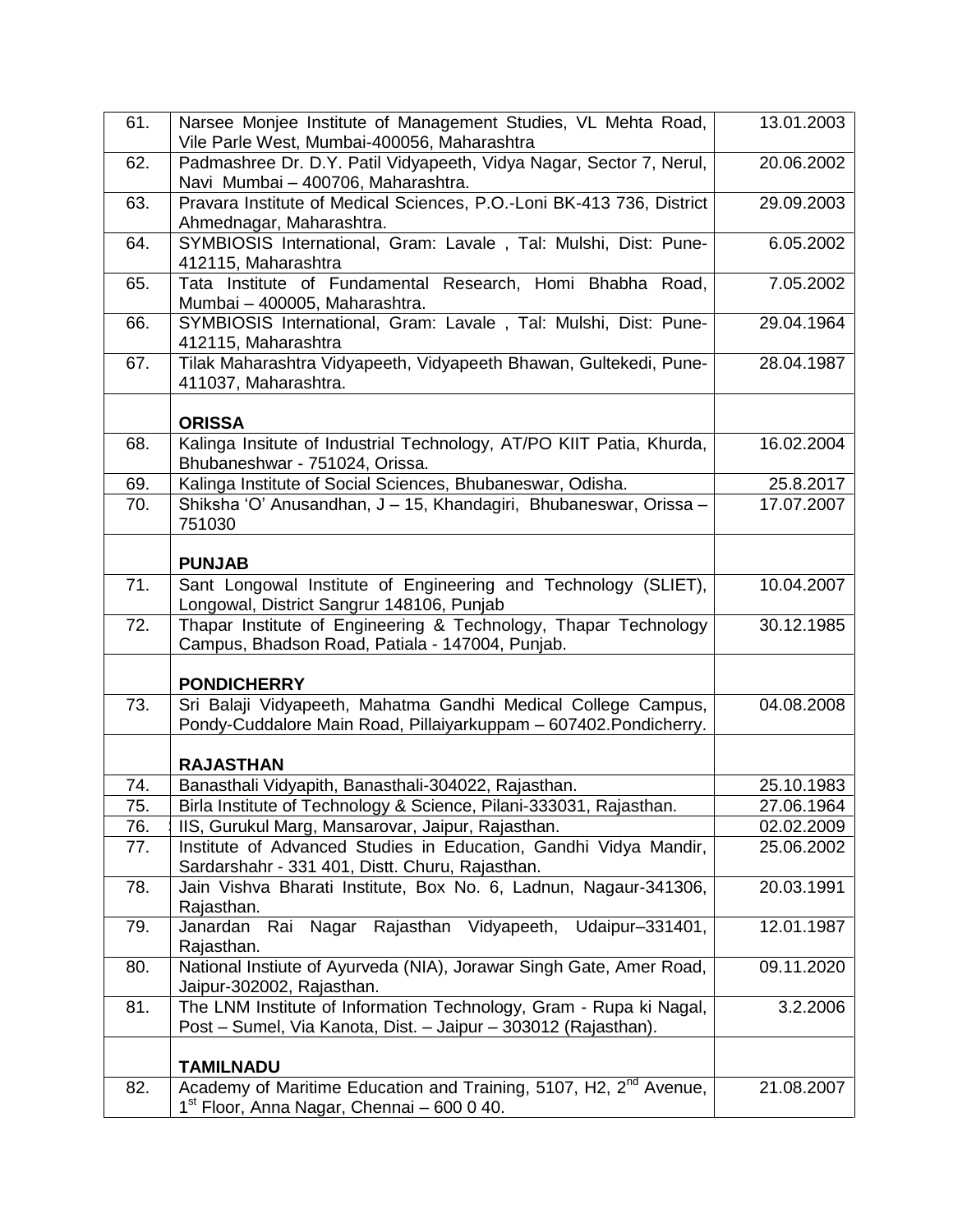| 61. | Narsee Monjee Institute of Management Studies, VL Mehta Road,<br>Vile Parle West, Mumbai-400056, Maharashtra                            | 13.01.2003 |
|-----|-----------------------------------------------------------------------------------------------------------------------------------------|------------|
| 62. | Padmashree Dr. D.Y. Patil Vidyapeeth, Vidya Nagar, Sector 7, Nerul,                                                                     | 20.06.2002 |
| 63. | Navi Mumbai - 400706, Maharashtra.<br>Pravara Institute of Medical Sciences, P.O.-Loni BK-413 736, District                             | 29.09.2003 |
| 64. | Ahmednagar, Maharashtra.<br>SYMBIOSIS International, Gram: Lavale, Tal: Mulshi, Dist: Pune-                                             | 6.05.2002  |
|     | 412115, Maharashtra                                                                                                                     |            |
| 65. | Tata Institute of Fundamental Research, Homi Bhabha Road,<br>Mumbai - 400005, Maharashtra.                                              | 7.05.2002  |
| 66. | SYMBIOSIS International, Gram: Lavale, Tal: Mulshi, Dist: Pune-<br>412115, Maharashtra                                                  | 29.04.1964 |
| 67. | Tilak Maharashtra Vidyapeeth, Vidyapeeth Bhawan, Gultekedi, Pune-<br>411037, Maharashtra.                                               | 28.04.1987 |
|     | <b>ORISSA</b>                                                                                                                           |            |
| 68. | Kalinga Insitute of Industrial Technology, AT/PO KIIT Patia, Khurda,<br>Bhubaneshwar - 751024, Orissa.                                  | 16.02.2004 |
| 69. | Kalinga Institute of Social Sciences, Bhubaneswar, Odisha.                                                                              | 25.8.2017  |
| 70. | Shiksha 'O' Anusandhan, J - 15, Khandagiri, Bhubaneswar, Orissa -<br>751030                                                             | 17.07.2007 |
|     | <b>PUNJAB</b>                                                                                                                           |            |
| 71. | Sant Longowal Institute of Engineering and Technology (SLIET),<br>Longowal, District Sangrur 148106, Punjab                             | 10.04.2007 |
| 72. | Thapar Institute of Engineering & Technology, Thapar Technology<br>Campus, Bhadson Road, Patiala - 147004, Punjab.                      | 30.12.1985 |
|     | <b>PONDICHERRY</b>                                                                                                                      |            |
| 73. | Sri Balaji Vidyapeeth, Mahatma Gandhi Medical College Campus,<br>Pondy-Cuddalore Main Road, Pillaiyarkuppam - 607402. Pondicherry.      | 04.08.2008 |
|     | <b>RAJASTHAN</b>                                                                                                                        |            |
| 74. | Banasthali Vidyapith, Banasthali-304022, Rajasthan.                                                                                     | 25.10.1983 |
| 75. | Birla Institute of Technology & Science, Pilani-333031, Rajasthan.                                                                      | 27.06.1964 |
| 76. | IIS, Gurukul Marg, Mansarovar, Jaipur, Rajasthan.                                                                                       | 02.02.2009 |
| 77. | Institute of Advanced Studies in Education, Gandhi Vidya Mandir,<br>Sardarshahr - 331 401, Distt. Churu, Rajasthan.                     | 25.06.2002 |
| 78. | Jain Vishva Bharati Institute, Box No. 6, Ladnun, Nagaur-341306,<br>Rajasthan.                                                          | 20.03.1991 |
| 79. | Nagar Rajasthan Vidyapeeth, Udaipur-331401,<br>Janardan<br>Rai<br>Rajasthan.                                                            | 12.01.1987 |
| 80. | National Instiute of Ayurveda (NIA), Jorawar Singh Gate, Amer Road,<br>Jaipur-302002, Rajasthan.                                        | 09.11.2020 |
| 81. | The LNM Institute of Information Technology, Gram - Rupa ki Nagal,<br>Post - Sumel, Via Kanota, Dist. - Jaipur - 303012 (Rajasthan).    | 3.2.2006   |
|     | <b>TAMILNADU</b>                                                                                                                        |            |
| 82. | Academy of Maritime Education and Training, 5107, H2, 2 <sup>nd</sup> Avenue,<br>1 <sup>st</sup> Floor, Anna Nagar, Chennai – 600 0 40. | 21.08.2007 |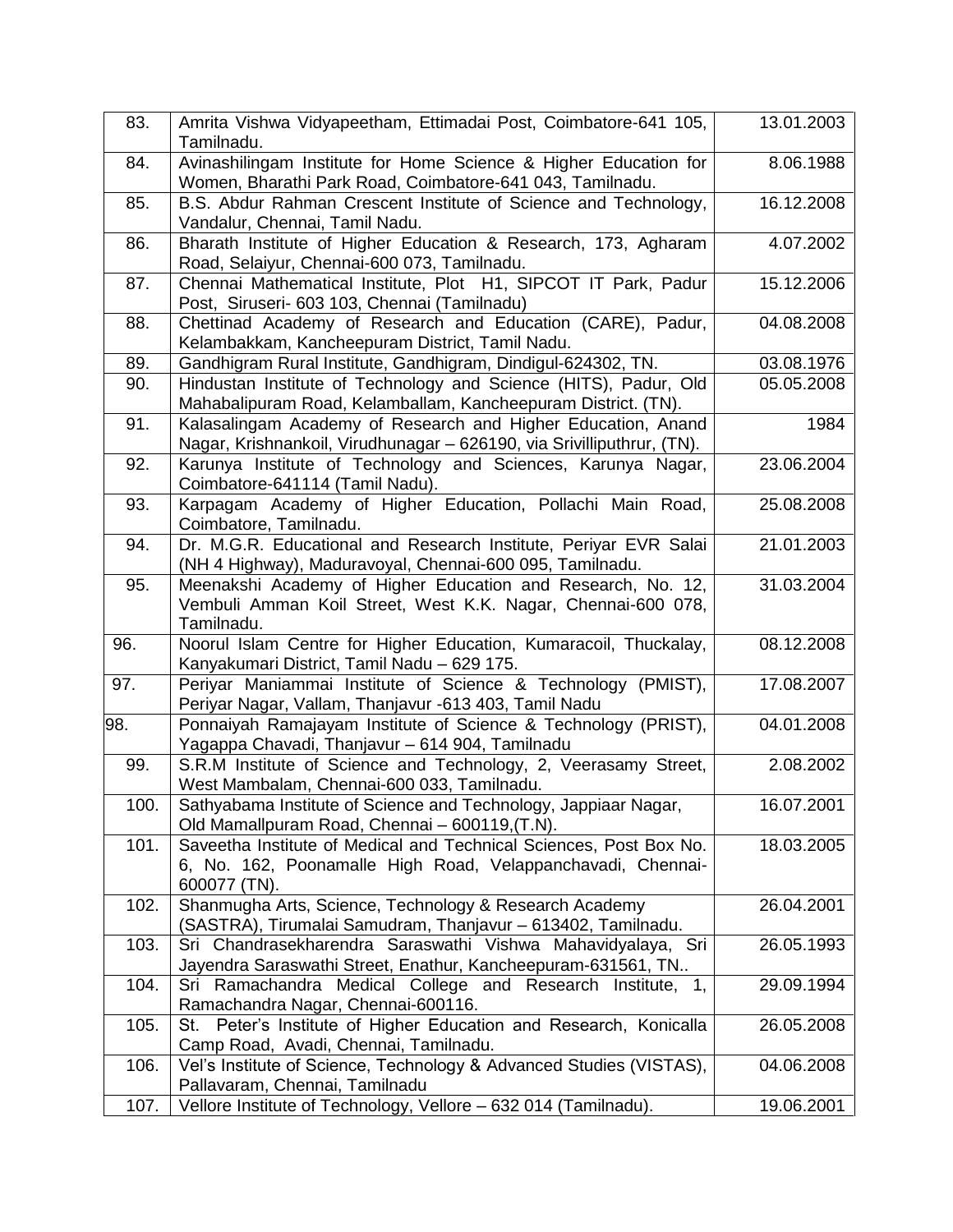| 83.  | Amrita Vishwa Vidyapeetham, Ettimadai Post, Coimbatore-641 105,<br>Tamilnadu.                                                                     | 13.01.2003 |
|------|---------------------------------------------------------------------------------------------------------------------------------------------------|------------|
| 84.  | Avinashilingam Institute for Home Science & Higher Education for<br>Women, Bharathi Park Road, Coimbatore-641 043, Tamilnadu.                     | 8.06.1988  |
| 85.  | B.S. Abdur Rahman Crescent Institute of Science and Technology,<br>Vandalur, Chennai, Tamil Nadu.                                                 | 16.12.2008 |
| 86.  | Bharath Institute of Higher Education & Research, 173, Agharam<br>Road, Selaiyur, Chennai-600 073, Tamilnadu.                                     | 4.07.2002  |
| 87.  | Chennai Mathematical Institute, Plot H1, SIPCOT IT Park, Padur<br>Post, Siruseri- 603 103, Chennai (Tamilnadu)                                    | 15.12.2006 |
| 88.  | Chettinad Academy of Research and Education (CARE), Padur,<br>Kelambakkam, Kancheepuram District, Tamil Nadu.                                     | 04.08.2008 |
| 89.  | Gandhigram Rural Institute, Gandhigram, Dindigul-624302, TN.                                                                                      | 03.08.1976 |
| 90.  | Hindustan Institute of Technology and Science (HITS), Padur, Old<br>Mahabalipuram Road, Kelamballam, Kancheepuram District. (TN).                 | 05.05.2008 |
| 91.  | Kalasalingam Academy of Research and Higher Education, Anand<br>Nagar, Krishnankoil, Virudhunagar - 626190, via Srivilliputhrur, (TN).            | 1984       |
| 92.  | Karunya Institute of Technology and Sciences, Karunya Nagar,<br>Coimbatore-641114 (Tamil Nadu).                                                   | 23.06.2004 |
| 93.  | Karpagam Academy of Higher Education, Pollachi Main Road,<br>Coimbatore, Tamilnadu.                                                               | 25.08.2008 |
| 94.  | Dr. M.G.R. Educational and Research Institute, Periyar EVR Salai<br>(NH 4 Highway), Maduravoyal, Chennai-600 095, Tamilnadu.                      | 21.01.2003 |
| 95.  | Meenakshi Academy of Higher Education and Research, No. 12,<br>Vembuli Amman Koil Street, West K.K. Nagar, Chennai-600 078,<br>Tamilnadu.         | 31.03.2004 |
| 96.  | Noorul Islam Centre for Higher Education, Kumaracoil, Thuckalay,<br>Kanyakumari District, Tamil Nadu - 629 175.                                   | 08.12.2008 |
| 97.  | Periyar Maniammai Institute of Science & Technology (PMIST),<br>Periyar Nagar, Vallam, Thanjavur -613 403, Tamil Nadu                             | 17.08.2007 |
| 98.  | Ponnaiyah Ramajayam Institute of Science & Technology (PRIST),<br>Yagappa Chavadi, Thanjavur - 614 904, Tamilnadu                                 | 04.01.2008 |
| 99.  | S.R.M Institute of Science and Technology, 2, Veerasamy Street,<br>West Mambalam, Chennai-600 033, Tamilnadu.                                     | 2.08.2002  |
| 100. | Sathyabama Institute of Science and Technology, Jappiaar Nagar,<br>Old Mamallpuram Road, Chennai - 600119, (T.N).                                 | 16.07.2001 |
| 101. | Saveetha Institute of Medical and Technical Sciences, Post Box No.<br>6, No. 162, Poonamalle High Road, Velappanchavadi, Chennai-<br>600077 (TN). | 18.03.2005 |
| 102. | Shanmugha Arts, Science, Technology & Research Academy<br>(SASTRA), Tirumalai Samudram, Thanjavur - 613402, Tamilnadu.                            | 26.04.2001 |
| 103. | Sri Chandrasekharendra Saraswathi Vishwa Mahavidyalaya, Sri<br>Jayendra Saraswathi Street, Enathur, Kancheepuram-631561, TN                       | 26.05.1993 |
| 104. | Sri Ramachandra Medical College and Research Institute,<br>$\mathbf{1},$<br>Ramachandra Nagar, Chennai-600116.                                    | 29.09.1994 |
| 105. | St. Peter's Institute of Higher Education and Research, Konicalla<br>Camp Road, Avadi, Chennai, Tamilnadu.                                        | 26.05.2008 |
| 106. | Vel's Institute of Science, Technology & Advanced Studies (VISTAS),<br>Pallavaram, Chennai, Tamilnadu                                             | 04.06.2008 |
| 107. | Vellore Institute of Technology, Vellore - 632 014 (Tamilnadu).                                                                                   | 19.06.2001 |